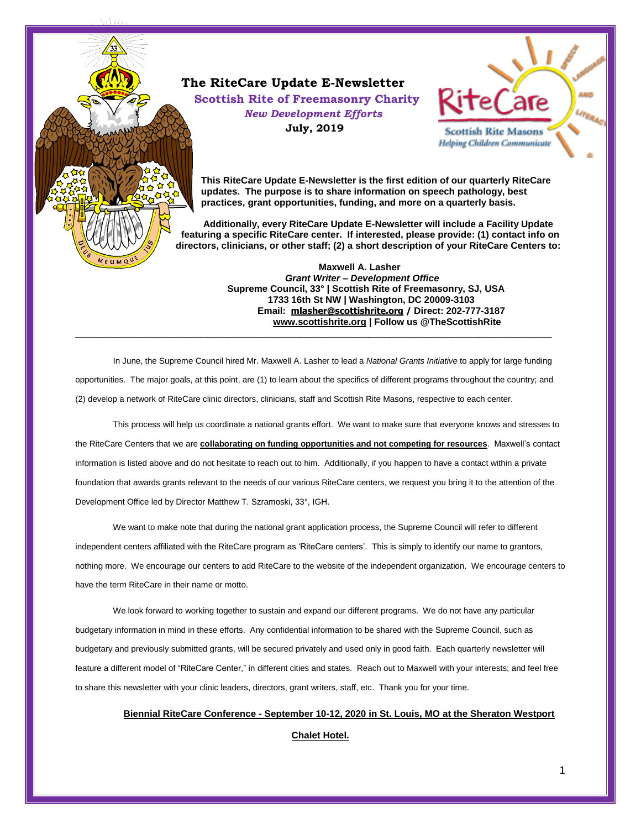### **The RiteCare Update E-Newsletter Scottish Rite of Freemasonry Charity** *New Development Efforts*

**July, 2019**



**This RiteCare Update E-Newsletter is the first edition of our quarterly RiteCare updates. The purpose is to share information on speech pathology, best practices, grant opportunities, funding, and more on a quarterly basis.** 

 **Additionally, every RiteCare Update E-Newsletter will include a Facility Update featuring a specific RiteCare center. If interested, please provide: (1) contact info on directors, clinicians, or other staff; (2) a short description of your RiteCare Centers to:** 

**Maxwell A. Lasher**  *Grant Writer – Development Office*  **Supreme Council, 33° | Scottish Rite of Freemasonry, SJ, USA 1733 16th St NW | Washington, DC 20009-3103 Email: [mlasher@scottishrite.org](mailto:mlasher@scottishrite.org) / Direct: 202-777-3187 [www.scottishrite.org](http://www.scottishrite.org/) | Follow us @TheScottishRite**  $\overline{a}$  , and the contribution of the contribution of the contribution of the contribution of the contribution of the contribution of the contribution of the contribution of the contribution of the contribution of the co

In June, the Supreme Council hired Mr. Maxwell A. Lasher to lead a *National Grants Initiative* to apply for large funding opportunities. The major goals, at this point, are (1) to learn about the specifics of different programs throughout the country; and (2) develop a network of RiteCare clinic directors, clinicians, staff and Scottish Rite Masons, respective to each center.

This process will help us coordinate a national grants effort. We want to make sure that everyone knows and stresses to the RiteCare Centers that we are **collaborating on funding opportunities and not competing for resources**. Maxwell's contact information is listed above and do not hesitate to reach out to him. Additionally, if you happen to have a contact within a private foundation that awards grants relevant to the needs of our various RiteCare centers, we request you bring it to the attention of the Development Office led by Director Matthew T. Szramoski, 33°, IGH.

We want to make note that during the national grant application process, the Supreme Council will refer to different independent centers affiliated with the RiteCare program as 'RiteCare centers'. This is simply to identify our name to grantors, nothing more. We encourage our centers to add RiteCare to the website of the independent organization. We encourage centers to have the term RiteCare in their name or motto.

We look forward to working together to sustain and expand our different programs. We do not have any particular budgetary information in mind in these efforts. Any confidential information to be shared with the Supreme Council, such as budgetary and previously submitted grants, will be secured privately and used only in good faith. Each quarterly newsletter will feature a different model of "RiteCare Center," in different cities and states. Reach out to Maxwell with your interests; and feel free to share this newsletter with your clinic leaders, directors, grant writers, staff, etc. Thank you for your time.

# **Biennial RiteCare Conference - September 10-12, 2020 in St. Louis, MO at the Sheraton Westport**

**Chalet Hotel.**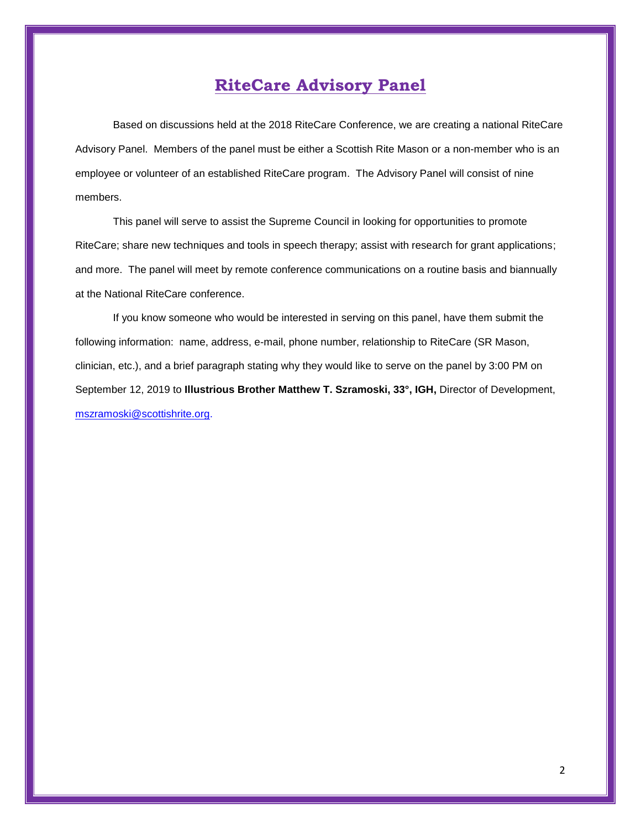## **RiteCare Advisory Panel**

Based on discussions held at the 2018 RiteCare Conference, we are creating a national RiteCare Advisory Panel. Members of the panel must be either a Scottish Rite Mason or a non-member who is an employee or volunteer of an established RiteCare program. The Advisory Panel will consist of nine members.

This panel will serve to assist the Supreme Council in looking for opportunities to promote RiteCare; share new techniques and tools in speech therapy; assist with research for grant applications; and more. The panel will meet by remote conference communications on a routine basis and biannually at the National RiteCare conference.

If you know someone who would be interested in serving on this panel, have them submit the following information: name, address, e-mail, phone number, relationship to RiteCare (SR Mason, clinician, etc.), and a brief paragraph stating why they would like to serve on the panel by 3:00 PM on September 12, 2019 to **Illustrious Brother Matthew T. Szramoski, 33°, IGH,** Director of Development, [mszramoski@scottishrite.org.](mailto:mszramoski@scottishrite.org)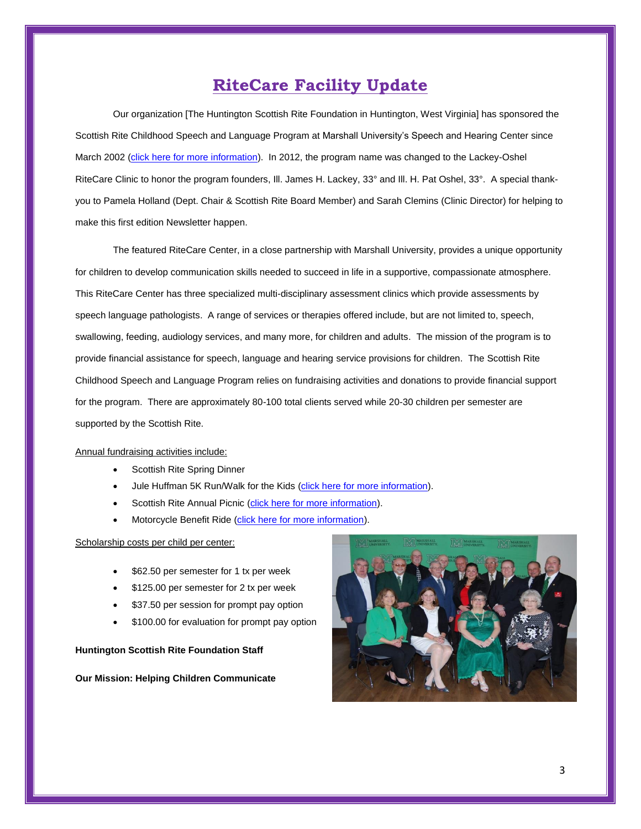### **RiteCare Facility Update**

Our organization [The Huntington Scottish Rite Foundation in Huntington, West Virginia] has sponsored the Scottish Rite Childhood Speech and Language Program at Marshall University's Speech and Hearing Center since March 2002 [\(click here for more information\)](http://www.marshall.edu/mu-speech-and-hearing-center/). In 2012, the program name was changed to the Lackey-Oshel RiteCare Clinic to honor the program founders, Ill. James H. Lackey, 33° and Ill. H. Pat Oshel, 33°. A special thankyou to Pamela Holland (Dept. Chair & Scottish Rite Board Member) and Sarah Clemins (Clinic Director) for helping to make this first edition Newsletter happen.

The featured RiteCare Center, in a close partnership with Marshall University, provides a unique opportunity for children to develop communication skills needed to succeed in life in a supportive, compassionate atmosphere. This RiteCare Center has three specialized multi-disciplinary assessment clinics which provide assessments by speech language pathologists. A range of services or therapies offered include, but are not limited to, speech, swallowing, feeding, audiology services, and many more, for children and adults. The mission of the program is to provide financial assistance for speech, language and hearing service provisions for children. The Scottish Rite Childhood Speech and Language Program relies on fundraising activities and donations to provide financial support for the program. There are approximately 80-100 total clients served while 20-30 children per semester are supported by the Scottish Rite.

#### Annual fundraising activities include:

- Scottish Rite Spring Dinner
- Jule Huffman 5K Run/Walk for the Kids [\(click here for more information\)](https://aptiming.com/race/866).
- Scottish Rite Annual Picnic [\(click here for more information\)](https://www.facebook.com/events/251231522495311/).
- Motorcycle Benefit Ride [\(click here for more information\)](https://www.scottishritehuntington.org/motorcycle-ride/).

#### Scholarship costs per child per center:

- \$62.50 per semester for 1 tx per week
- \$125.00 per semester for 2 tx per week
- \$37.50 per session for prompt pay option
- \$100.00 for evaluation for prompt pay option

#### **Huntington Scottish Rite Foundation Staff**

#### **Our Mission: Helping Children Communicate**